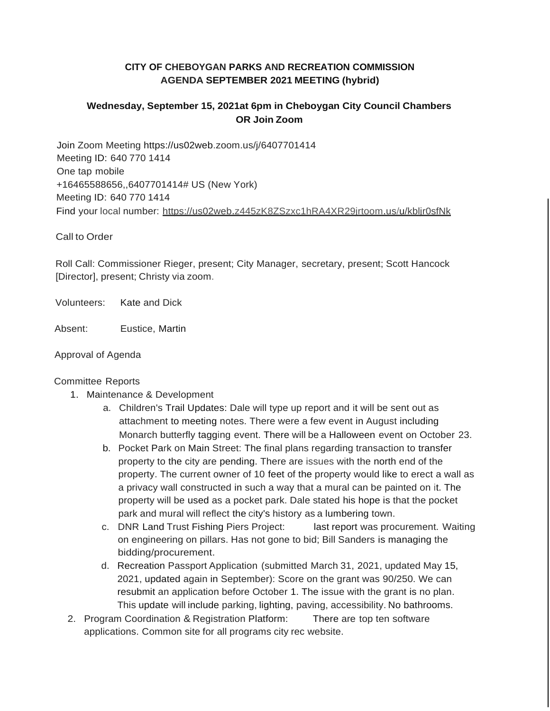# **CITY OF CHEBOYGAN PARKS AND RECREATION COMMISSION AGENDA SEPTEMBER 2021 MEETING (hybrid)**

# **Wednesday, September 15, 2021at 6pm in Cheboygan City Council Chambers OR Join Zoom**

Join Zoom Meeting https://us02web.zoom.us/j/6407701414 Meeting ID: 640 770 1414 One tap mobile +16465588656,,6407701414# US (New York) Meeting ID: 640 770 1414 Find your local number: https://us02web.z445zK8ZSzxc1hRA4XR29jrtoom.us/u/kbljr0sfNk

Call to Order

Roll Call: Commissioner Rieger, present; City Manager, secretary, present; Scott Hancock [Director], present; Christy via zoom.

Volunteers: Kate and Dick

Absent: Eustice, Martin

#### Approval of Agenda

#### Committee Reports

- 1. Maintenance & Development
	- a. Children's Trail Updates: Dale will type up report and it will be sent out as attachment to meeting notes. There were a few event in August including Monarch butterfly tagging event. There will be a Halloween event on October 23.
	- b. Pocket Park on Main Street: The final plans regarding transaction to transfer property to the city are pending. There are issues with the north end of the property. The current owner of 10 feet of the property would like to erect a wall as a privacy wall constructed in such a way that a mural can be painted on it. The property will be used as a pocket park. Dale stated his hope is that the pocket park and mural will reflect the city's history as a lumbering town.
	- c. DNR Land Trust Fishing Piers Project: last report was procurement. Waiting on engineering on pillars. Has not gone to bid; Bill Sanders is managing the bidding/procurement.
	- d. Recreation Passport Application (submitted March 31, 2021, updated May 15, 2021, updated again in September): Score on the grant was 90/250. We can resubmit an application before October 1. The issue with the grant is no plan. This update will include parking, lighting, paving, accessibility. No bathrooms.
- 2. Program Coordination & Registration Platform: There are top ten software applications. Common site for all programs city rec website.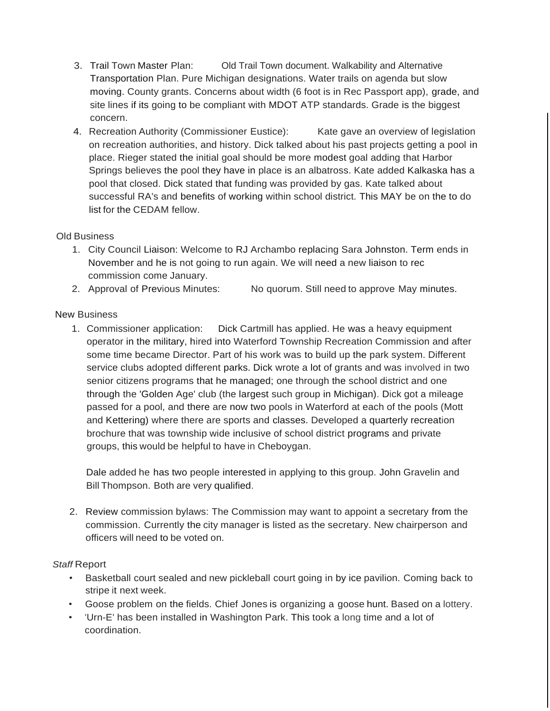- 3. Trail Town Master Plan: Old Trail Town document. Walkability and Alternative Transportation Plan. Pure Michigan designations. Water trails on agenda but slow moving. County grants. Concerns about width (6 foot is in Rec Passport app), grade, and site lines if its going to be compliant with MDOT ATP standards. Grade is the biggest concern.
- 4. Recreation Authority (Commissioner Eustice): Kate gave an overview of legislation on recreation authorities, and history. Dick talked about his past projects getting a pool in place. Rieger stated the initial goal should be more modest goal adding that Harbor Springs believes the pool they have in place is an albatross. Kate added Kalkaska has a pool that closed. Dick stated that funding was provided by gas. Kate talked about successful RA's and benefits of working within school district. This MAY be on the to do list for the CEDAM fellow.

## Old Business

- 1. City Council Liaison: Welcome to RJ Archambo replacing Sara Johnston. Term ends in November and he is not going to run again. We will need a new liaison to rec commission come January.
- 2. Approval of Previous Minutes: No quorum. Still need to approve May minutes.

## New Business

1. Commissioner application: Dick Cartmill has applied. He was a heavy equipment operator in the military, hired into Waterford Township Recreation Commission and after some time became Director. Part of his work was to build up the park system. Different service clubs adopted different parks. Dick wrote a lot of grants and was involved in two senior citizens programs that he managed; one through the school district and one through the 'Golden Age' club (the largest such group in Michigan). Dick got a mileage passed for a pool, and there are now two pools in Waterford at each of the pools (Mott and Kettering) where there are sports and classes. Developed a quarterly recreation brochure that was township wide inclusive of school district programs and private groups, this would be helpful to have in Cheboygan.

Dale added he has two people interested in applying to this group. John Gravelin and Bill Thompson. Both are very qualified.

2. Review commission bylaws: The Commission may want to appoint a secretary from the commission. Currently the city manager is listed as the secretary. New chairperson and officers will need to be voted on.

## *Staff* Report

- Basketball court sealed and new pickleball court going in by ice pavilion. Coming back to stripe it next week.
- Goose problem on the fields. Chief Jones is organizing a goose hunt. Based on a lottery.
- 'Urn-E' has been installed in Washington Park. This took a long time and a lot of coordination.